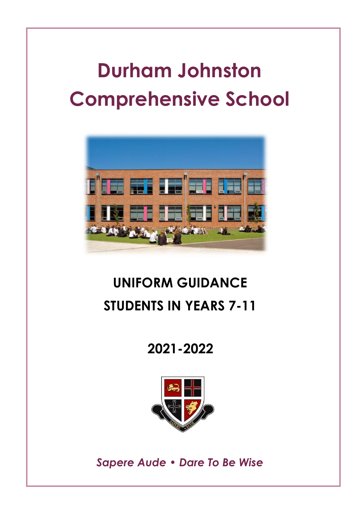# **Durham Johnston Comprehensive School**



## **UNIFORM GUIDANCE STUDENTS IN YEARS 7-11**

## **2021-2022**



*Sapere Aude • Dare To Be Wise*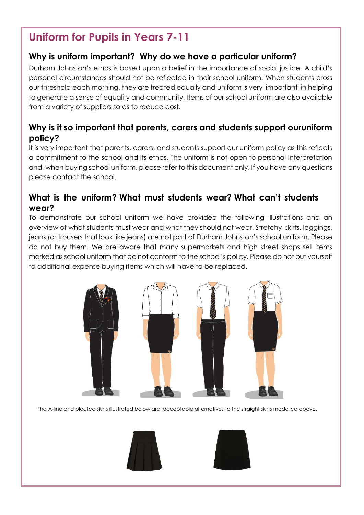## **Uniform for Pupils in Years 7-11**

## **Why is uniform important? Why do we have a particular uniform?**

Durham Johnston's ethos is based upon a belief in the importance of social justice. A child's personal circumstances should not be reflected in their school uniform. When students cross our threshold each morning, they are treated equally and uniform is very important in helping to generate a sense of equality and community. Items of our school uniform are also available from a variety of suppliers so as to reduce cost.

## **Why is it so important that parents, carers and students support ouruniform policy?**

It is very important that parents, carers, and students support our uniform policy as this reflects a commitment to the school and its ethos. The uniform is not open to personal interpretation and, when buying school uniform, please refer to this document only. If you have any questions please contact the school.

### **What is the uniform? What must students wear? What can't students wear?**

To demonstrate our school uniform we have provided the following illustrations and an overview of what students must wear and what they should not wear. Stretchy skirts, leggings, jeans (or trousers that look like jeans) are not part of Durham Johnston's school uniform. Please do not buy them. We are aware that many supermarkets and high street shops sell items marked as school uniform that do not conform to the school's policy. Please do not put yourself to additional expense buying items which will have to be replaced.



The A-line and pleated skirts illustrated below are acceptable alternatives to the straight skirts modelled above.



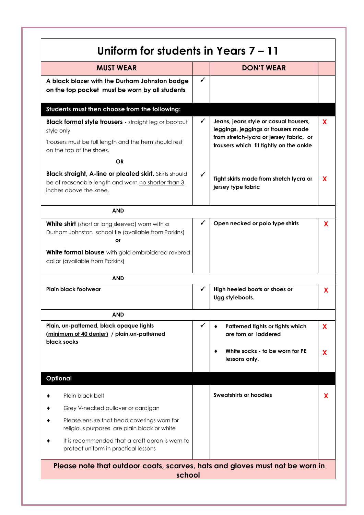| <b>MUST WEAR</b>                                                                                                                                               |              | <b>DON'T WEAR</b>                                                                                                                                                   |    |
|----------------------------------------------------------------------------------------------------------------------------------------------------------------|--------------|---------------------------------------------------------------------------------------------------------------------------------------------------------------------|----|
| A black blazer with the Durham Johnston badge<br>on the top pocket must be worn by all students                                                                | ✓            |                                                                                                                                                                     |    |
| Students must then choose from the following:                                                                                                                  |              |                                                                                                                                                                     |    |
| <b>Black formal style trousers - straight leg or bootcut</b><br>style only<br>Trousers must be full length and the hem should rest<br>on the top of the shoes. | ✓            | Jeans, jeans style or casual trousers,<br>leggings, jeggings or trousers made<br>from stretch-lycra or jersey fabric, or<br>trousers which fit tightly on the ankle | X. |
| <b>OR</b>                                                                                                                                                      |              |                                                                                                                                                                     |    |
| <b>Black straight, A-line or pleated skirt.</b> Skirts should<br>be of reasonable length and worn no shorter than 3<br>inches above the knee.                  | ✓            | Tight skirts made from stretch lycra or<br>jersey type fabric                                                                                                       | X  |
| <b>AND</b>                                                                                                                                                     |              |                                                                                                                                                                     |    |
| White shirt (short or long sleeved) worn with a<br>Durham Johnston school tie (available from Parkins)<br>or                                                   | ✓            | Open necked or polo type shirts                                                                                                                                     | X  |
| White formal blouse with gold embroidered revered<br>collar (available from Parkins)                                                                           |              |                                                                                                                                                                     |    |
| <b>AND</b>                                                                                                                                                     |              |                                                                                                                                                                     |    |
| Plain black footwear                                                                                                                                           | ✓            | High heeled boots or shoes or<br>Ugg styleboots.                                                                                                                    | X  |
| AND                                                                                                                                                            |              |                                                                                                                                                                     |    |
| Plain, un-patterned, black opaque tights<br>(minimum of 40 denier) / plain, un-patterned<br>black socks                                                        | $\checkmark$ | Patterned tights or tights which<br>٠<br>are torn or laddered                                                                                                       | X  |
|                                                                                                                                                                |              | White socks - to be worn for PE<br>٠<br>lessons only.                                                                                                               | X  |
| <b>Optional</b>                                                                                                                                                |              |                                                                                                                                                                     |    |
| Plain black belt                                                                                                                                               |              | Sweatshirts or hoodies                                                                                                                                              | X  |
| Grey V-necked pullover or cardigan                                                                                                                             |              |                                                                                                                                                                     |    |
| Please ensure that head coverings worn for<br>religious purposes are plain black or white                                                                      |              |                                                                                                                                                                     |    |
| It is recommended that a craft apron is worn to<br>protect uniform in practical lessons                                                                        |              |                                                                                                                                                                     |    |
| Please note that outdoor coats, scarves, hats and gloves must not be worn in                                                                                   |              |                                                                                                                                                                     |    |